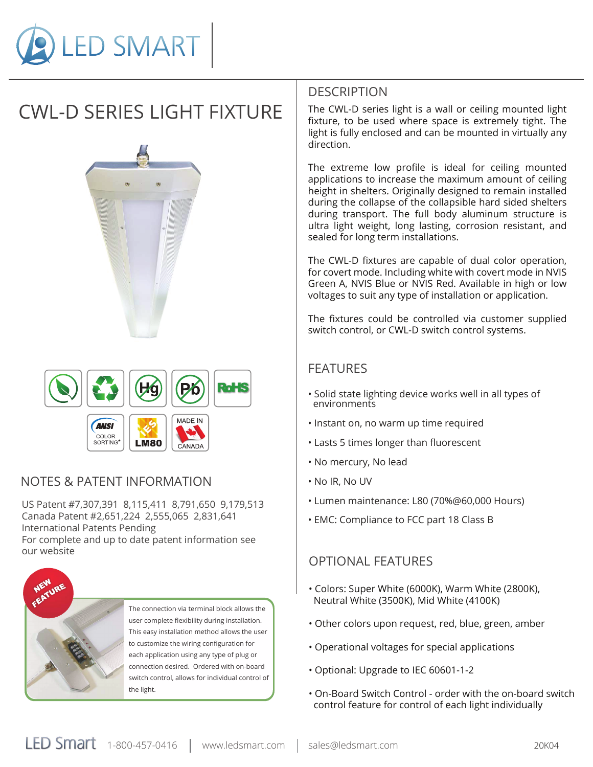

# CWL-D SERIES LIGHT FIXTURE





### NOTES & PATENT INFORMATION

US Patent #7,307,391 8,115,411 8,791,650 9,179,513 Canada Patent #2,651,224 2,555,065 2,831,641 International Patents Pending For complete and up to date patent information see our website



The connection via terminal block allows the user complete flexibility during installation. This easy installation method allows the user to customize the wiring configuration for each application using any type of plug or connection desired. Ordered with on-board switch control, allows for individual control of the light.

### **DESCRIPTION**

The CWL-D series light is a wall or ceiling mounted light fixture, to be used where space is extremely tight. The light is fully enclosed and can be mounted in virtually any direction.

The extreme low profile is ideal for ceiling mounted applications to increase the maximum amount of ceiling height in shelters. Originally designed to remain installed during the collapse of the collapsible hard sided shelters during transport. The full body aluminum structure is ultra light weight, long lasting, corrosion resistant, and sealed for long term installations.

The CWL-D fixtures are capable of dual color operation, for covert mode. Including white with covert mode in NVIS Green A, NVIS Blue or NVIS Red. Available in high or low voltages to suit any type of installation or application.

The fixtures could be controlled via customer supplied switch control, or CWL-D switch control systems.

### FEATURES

- Solid state lighting device works well in all types of environments
- Instant on, no warm up time required
- Lasts 5 times longer than fluorescent
- No mercury, No lead
- No IR, No UV
- Lumen maintenance: L80 (70%@60,000 Hours)
- EMC: Compliance to FCC part 18 Class B

### OPTIONAL FEATURES

- Colors: Super White (6000K), Warm White (2800K), Neutral White (3500K), Mid White (4100K)
- Other colors upon request, red, blue, green, amber
- Operational voltages for special applications
- Optional: Upgrade to IEC 60601-1-2
- On-Board Switch Control order with the on-board switch control feature for control of each light individually